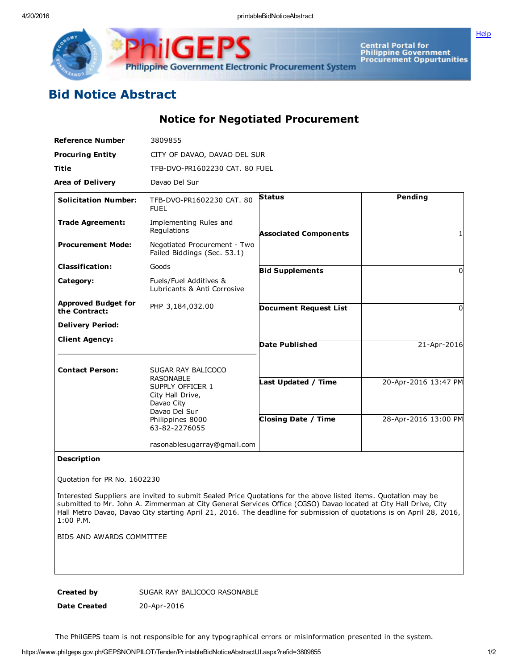

GE **Philippine Government Electronic Procurement System** 

Central Portal for<br>Philippine Government<br>Procurement Oppurtunities

## Bid Notice Abstract

Notice for Negotiated Procurement

| 3809855                                                                              |                              |                                                                |
|--------------------------------------------------------------------------------------|------------------------------|----------------------------------------------------------------|
|                                                                                      |                              |                                                                |
|                                                                                      |                              |                                                                |
| Davao Del Sur                                                                        |                              |                                                                |
| TFB-DVO-PR1602230 CAT, 80<br><b>FUEL</b>                                             | <b>Status</b>                | Pending                                                        |
| Implementing Rules and<br>Regulations                                                | <b>Associated Components</b> |                                                                |
| Negotiated Procurement - Two<br>Failed Biddings (Sec. 53.1)                          |                              |                                                                |
| Goods                                                                                | <b>Bid Supplements</b>       | 0                                                              |
| Fuels/Fuel Additives &<br>Lubricants & Anti Corrosive                                |                              |                                                                |
| PHP 3,184,032.00                                                                     | <b>Document Request List</b> | $\Omega$                                                       |
|                                                                                      |                              |                                                                |
|                                                                                      | <b>Date Published</b>        | 21-Apr-2016                                                    |
| SUGAR RAY BALICOCO<br><b>RASONABLE</b>                                               | Last Updated / Time          | 20-Apr-2016 13:47 PM                                           |
| City Hall Drive,<br>Davao City<br>Davao Del Sur<br>Philippines 8000<br>63-82-2276055 |                              |                                                                |
|                                                                                      | <b>Closing Date / Time</b>   | 28-Apr-2016 13:00 PM                                           |
| rasonablesugarray@gmail.com                                                          |                              |                                                                |
|                                                                                      | SUPPLY OFFICER 1             | CITY OF DAVAO, DAVAO DEL SUR<br>TFB-DVO-PR1602230 CAT, 80 FUEL |

## Description

Quotation for PR No. 1602230

Interested Suppliers are invited to submit Sealed Price Quotations for the above listed items. Quotation may be submitted to Mr. John A. Zimmerman at City General Services Office (CGSO) Davao located at City Hall Drive, City Hall Metro Davao, Davao City starting April 21, 2016. The deadline for submission of quotations is on April 28, 2016, 1:00 P.M.

BIDS AND AWARDS COMMITTEE

Created by SUGAR RAY BALICOCO RASONABLE

Date Created 20-Apr-2016

The PhilGEPS team is not responsible for any typographical errors or misinformation presented in the system.